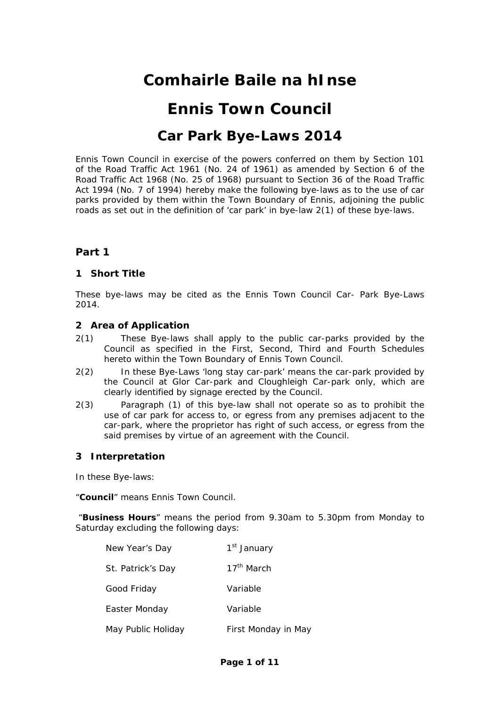# **Comhairle Baile na hInse**

# **Ennis Town Council**

# **Car Park Bye-Laws 2014**

Ennis Town Council in exercise of the powers conferred on them by Section 101 of the Road Traffic Act 1961 (No. 24 of 1961) as amended by Section 6 of the Road Traffic Act 1968 (No. 25 of 1968) pursuant to Section 36 of the Road Traffic Act 1994 (No. 7 of 1994) hereby make the following bye-laws as to the use of car parks provided by them within the Town Boundary of Ennis, adjoining the public roads as set out in the definition of 'car park' in bye-law 2(1) of these bye-laws.

# **Part 1**

## **1 Short Title**

These bye-laws may be cited as the Ennis Town Council Car- Park Bye-Laws 2014.

## **2 Area of Application**

- 2(1) These Bye-laws shall apply to the public car-parks provided by the Council as specified in the First, Second, Third and Fourth Schedules hereto within the Town Boundary of Ennis Town Council.
- 2(2) In these Bye-Laws 'long stay car-park' means the car-park provided by the Council at Glor Car-park and Cloughleigh Car-park only, which are clearly identified by signage erected by the Council.
- 2(3) Paragraph (1) of this bye-law shall not operate so as to prohibit the use of car park for access to, or egress from any premises adjacent to the car-park, where the proprietor has right of such access, or egress from the said premises by virtue of an agreement with the Council.

#### **3 Interpretation**

In these Bye-laws:

"**Council**" means Ennis Town Council.

 "**Business Hours**" means the period from 9.30am to 5.30pm from Monday to Saturday excluding the following days:

| New Year's Day     | 1 <sup>st</sup> January |
|--------------------|-------------------------|
| St. Patrick's Day  | 17 <sup>th</sup> March  |
| Good Friday        | Variable                |
| Easter Monday      | Variable                |
| May Public Holiday | First Monday in May     |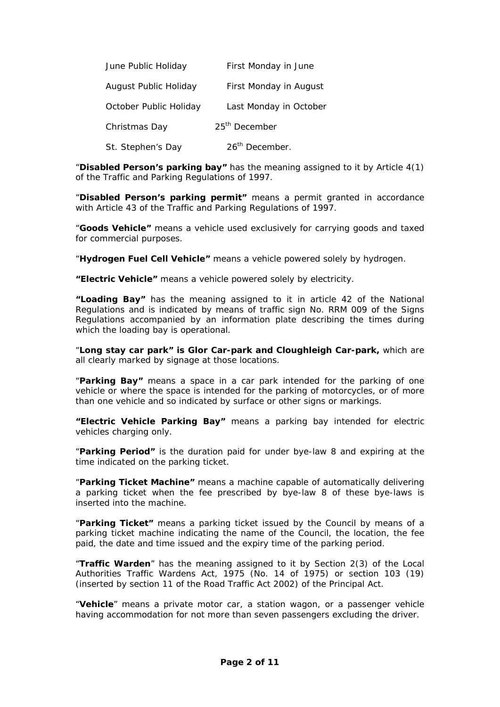| June Public Holiday    | First Monday in June       |
|------------------------|----------------------------|
| August Public Holiday  | First Monday in August     |
| October Public Holiday | Last Monday in October     |
| Christmas Day          | 25 <sup>th</sup> December  |
| St. Stephen's Day      | 26 <sup>th</sup> December. |

"**Disabled Person's parking bay"** has the meaning assigned to it by Article 4(1) of the Traffic and Parking Regulations of 1997.

"**Disabled Person's parking permit"** means a permit granted in accordance with Article 43 of the Traffic and Parking Regulations of 1997.

"**Goods Vehicle"** means a vehicle used exclusively for carrying goods and taxed for commercial purposes.

"**Hydrogen Fuel Cell Vehicle"** means a vehicle powered solely by hydrogen.

**"Electric Vehicle"** means a vehicle powered solely by electricity.

**"Loading Bay"** has the meaning assigned to it in article 42 of the National Regulations and is indicated by means of traffic sign No. RRM 009 of the Signs Regulations accompanied by an information plate describing the times during which the loading bay is operational.

"**Long stay car park" is Glor Car-park and Cloughleigh Car-park,** which are all clearly marked by signage at those locations.

"**Parking Bay"** means a space in a car park intended for the parking of one vehicle or where the space is intended for the parking of motorcycles, or of more than one vehicle and so indicated by surface or other signs or markings.

**"Electric Vehicle Parking Bay"** means a parking bay intended for electric vehicles charging only.

"**Parking Period"** is the duration paid for under bye-law 8 and expiring at the time indicated on the parking ticket.

"**Parking Ticket Machine"** means a machine capable of automatically delivering a parking ticket when the fee prescribed by bye-law 8 of these bye-laws is inserted into the machine.

"**Parking Ticket"** means a parking ticket issued by the Council by means of a parking ticket machine indicating the name of the Council, the location, the fee paid, the date and time issued and the expiry time of the parking period.

"**Traffic Warden**" has the meaning assigned to it by Section 2(3) of the Local Authorities Traffic Wardens Act, 1975 (No. 14 of 1975) or section 103 (19) (inserted by section 11 of the Road Traffic Act 2002) of the Principal Act.

"**Vehicle**" means a private motor car, a station wagon, or a passenger vehicle having accommodation for not more than seven passengers excluding the driver.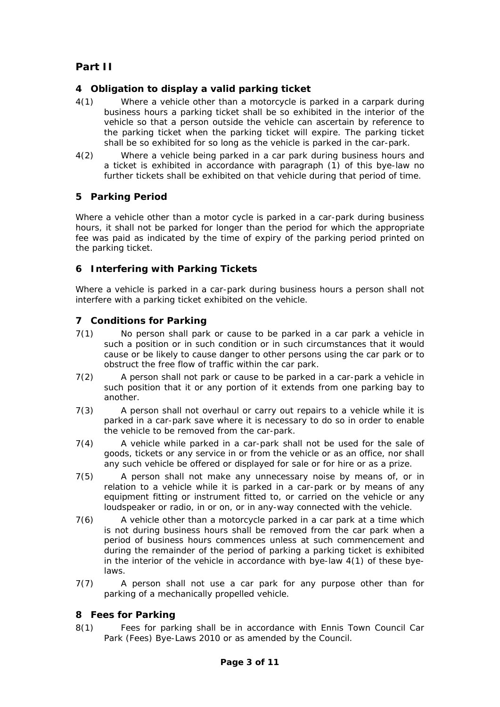# **Part II**

# **4 Obligation to display a valid parking ticket**

- 4(1) Where a vehicle other than a motorcycle is parked in a carpark during business hours a parking ticket shall be so exhibited in the interior of the vehicle so that a person outside the vehicle can ascertain by reference to the parking ticket when the parking ticket will expire. The parking ticket shall be so exhibited for so long as the vehicle is parked in the car-park.
- 4(2) Where a vehicle being parked in a car park during business hours and a ticket is exhibited in accordance with paragraph (1) of this bye-law no further tickets shall be exhibited on that vehicle during that period of time.

# **5 Parking Period**

Where a vehicle other than a motor cycle is parked in a car-park during business hours, it shall not be parked for longer than the period for which the appropriate fee was paid as indicated by the time of expiry of the parking period printed on the parking ticket.

## **6 Interfering with Parking Tickets**

Where a vehicle is parked in a car-park during business hours a person shall not interfere with a parking ticket exhibited on the vehicle.

## **7 Conditions for Parking**

- 7(1) No person shall park or cause to be parked in a car park a vehicle in such a position or in such condition or in such circumstances that it would cause or be likely to cause danger to other persons using the car park or to obstruct the free flow of traffic within the car park.
- 7(2) A person shall not park or cause to be parked in a car-park a vehicle in such position that it or any portion of it extends from one parking bay to another.
- 7(3) A person shall not overhaul or carry out repairs to a vehicle while it is parked in a car-park save where it is necessary to do so in order to enable the vehicle to be removed from the car-park.
- 7(4) A vehicle while parked in a car-park shall not be used for the sale of goods, tickets or any service in or from the vehicle or as an office, nor shall any such vehicle be offered or displayed for sale or for hire or as a prize.
- 7(5) A person shall not make any unnecessary noise by means of, or in relation to a vehicle while it is parked in a car-park or by means of any equipment fitting or instrument fitted to, or carried on the vehicle or any loudspeaker or radio, in or on, or in any-way connected with the vehicle.
- 7(6) A vehicle other than a motorcycle parked in a car park at a time which is not during business hours shall be removed from the car park when a period of business hours commences unless at such commencement and during the remainder of the period of parking a parking ticket is exhibited in the interior of the vehicle in accordance with bye-law 4(1) of these byelaws.
- 7(7) A person shall not use a car park for any purpose other than for parking of a mechanically propelled vehicle.

## **8 Fees for Parking**

8(1) Fees for parking shall be in accordance with Ennis Town Council Car Park (Fees) Bye-Laws 2010 or as amended by the Council.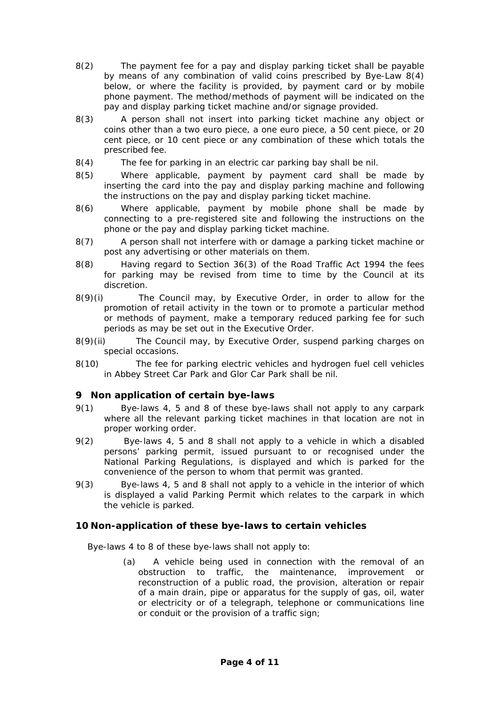- 8(2) The payment fee for a pay and display parking ticket shall be payable by means of any combination of valid coins prescribed by Bye-Law 8(4) below, or where the facility is provided, by payment card or by mobile phone payment. The method/methods of payment will be indicated on the pay and display parking ticket machine and/or signage provided.
- 8(3) A person shall not insert into parking ticket machine any object or coins other than a two euro piece, a one euro piece, a 50 cent piece, or 20 cent piece, or 10 cent piece or any combination of these which totals the prescribed fee.
- 8(4) The fee for parking in an electric car parking bay shall be nil.
- 8(5) Where applicable, payment by payment card shall be made by inserting the card into the pay and display parking machine and following the instructions on the pay and display parking ticket machine.
- 8(6) Where applicable, payment by mobile phone shall be made by connecting to a pre-registered site and following the instructions on the phone or the pay and display parking ticket machine.
- 8(7) A person shall not interfere with or damage a parking ticket machine or post any advertising or other materials on them.
- 8(8) Having regard to Section 36(3) of the Road Traffic Act 1994 the fees for parking may be revised from time to time by the Council at its discretion.
- 8(9)(i) The Council may, by Executive Order, in order to allow for the promotion of retail activity in the town or to promote a particular method or methods of payment, make a temporary reduced parking fee for such periods as may be set out in the Executive Order.
- 8(9)(ii) The Council may, by Executive Order, suspend parking charges on special occasions.
- 8(10) The fee for parking electric vehicles and hydrogen fuel cell vehicles in Abbey Street Car Park and Glor Car Park shall be nil.

## **9 Non application of certain bye-laws**

- 9(1) Bye-laws 4, 5 and 8 of these bye-laws shall not apply to any carpark where all the relevant parking ticket machines in that location are not in proper working order.
- 9(2) Bye-laws 4, 5 and 8 shall not apply to a vehicle in which a disabled persons' parking permit, issued pursuant to or recognised under the National Parking Regulations, is displayed and which is parked for the convenience of the person to whom that permit was granted.
- 9(3) Bye-laws 4, 5 and 8 shall not apply to a vehicle in the interior of which is displayed a valid Parking Permit which relates to the carpark in which the vehicle is parked.

#### **10 Non-application of these bye-laws to certain vehicles**

Bye-laws 4 to 8 of these bye-laws shall not apply to:

(a) A vehicle being used in connection with the removal of an obstruction to traffic, the maintenance, improvement or reconstruction of a public road, the provision, alteration or repair of a main drain, pipe or apparatus for the supply of gas, oil, water or electricity or of a telegraph, telephone or communications line or conduit or the provision of a traffic sign;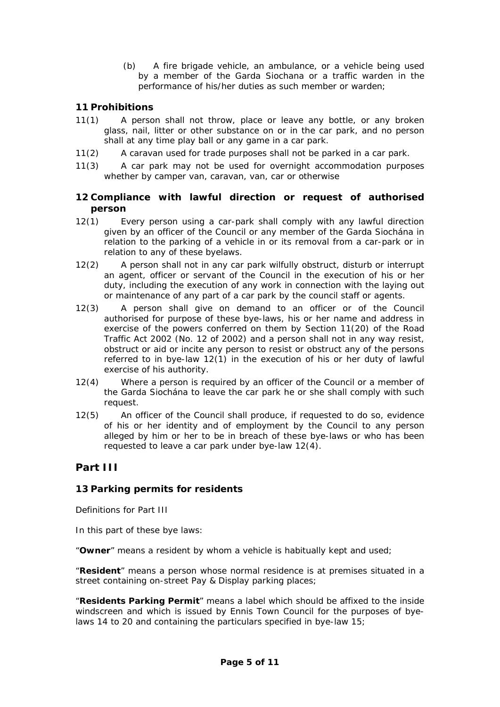(b) A fire brigade vehicle, an ambulance, or a vehicle being used by a member of the Garda Siochana or a traffic warden in the performance of his/her duties as such member or warden;

# **11 Prohibitions**

- 11(1) A person shall not throw, place or leave any bottle, or any broken glass, nail, litter or other substance on or in the car park, and no person shall at any time play ball or any game in a car park.
- 11(2) A caravan used for trade purposes shall not be parked in a car park.
- 11(3) A car park may not be used for overnight accommodation purposes whether by camper van, caravan, van, car or otherwise

## **12 Compliance with lawful direction or request of authorised person**

- 12(1) Every person using a car-park shall comply with any lawful direction given by an officer of the Council or any member of the Garda Siochána in relation to the parking of a vehicle in or its removal from a car-park or in relation to any of these byelaws.
- 12(2) A person shall not in any car park wilfully obstruct, disturb or interrupt an agent, officer or servant of the Council in the execution of his or her duty, including the execution of any work in connection with the laying out or maintenance of any part of a car park by the council staff or agents.
- 12(3) A person shall give on demand to an officer or of the Council authorised for purpose of these bye-laws, his or her name and address in exercise of the powers conferred on them by Section 11(20) of the Road Traffic Act 2002 (No. 12 of 2002) and a person shall not in any way resist, obstruct or aid or incite any person to resist or obstruct any of the persons referred to in bye-law 12(1) in the execution of his or her duty of lawful exercise of his authority.
- 12(4) Where a person is required by an officer of the Council or a member of the Garda Siochána to leave the car park he or she shall comply with such request.
- 12(5) An officer of the Council shall produce, if requested to do so, evidence of his or her identity and of employment by the Council to any person alleged by him or her to be in breach of these bye-laws or who has been requested to leave a car park under bye-law 12(4).

# **Part III**

# **13 Parking permits for residents**

Definitions for Part III

In this part of these bye laws:

"**Owner**" means a resident by whom a vehicle is habitually kept and used;

"**Resident**" means a person whose normal residence is at premises situated in a street containing on-street Pay & Display parking places;

"**Residents Parking Permit**" means a label which should be affixed to the inside windscreen and which is issued by Ennis Town Council for the purposes of byelaws 14 to 20 and containing the particulars specified in bye-law 15;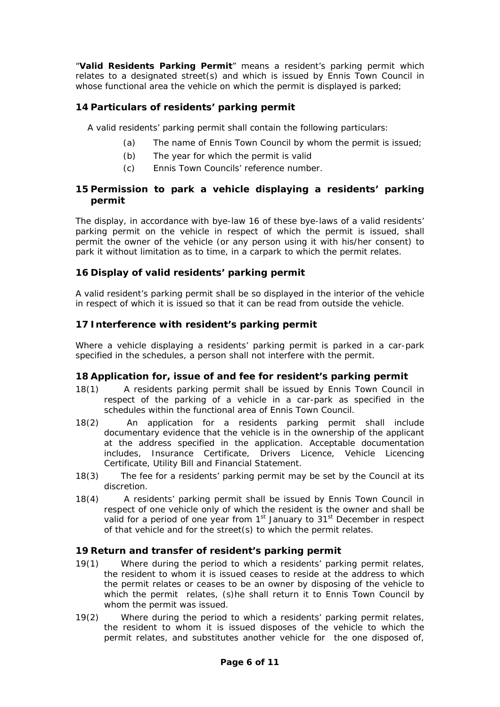"**Valid Residents Parking Permit**" means a resident's parking permit which relates to a designated street(s) and which is issued by Ennis Town Council in whose functional area the vehicle on which the permit is displayed is parked;

# **14 Particulars of residents' parking permit**

A valid residents' parking permit shall contain the following particulars:

- (a) The name of Ennis Town Council by whom the permit is issued;
- (b) The year for which the permit is valid
- (c) Ennis Town Councils' reference number.

# **15 Permission to park a vehicle displaying a residents' parking permit**

The display, in accordance with bye-law 16 of these bye-laws of a valid residents' parking permit on the vehicle in respect of which the permit is issued, shall permit the owner of the vehicle (or any person using it with his/her consent) to park it without limitation as to time, in a carpark to which the permit relates.

## **16 Display of valid residents' parking permit**

A valid resident's parking permit shall be so displayed in the interior of the vehicle in respect of which it is issued so that it can be read from outside the vehicle.

## **17 Interference with resident's parking permit**

Where a vehicle displaying a residents' parking permit is parked in a car-park specified in the schedules, a person shall not interfere with the permit.

## **18 Application for, issue of and fee for resident's parking permit**

- 18(1) A residents parking permit shall be issued by Ennis Town Council in respect of the parking of a vehicle in a car-park as specified in the schedules within the functional area of Ennis Town Council.
- 18(2) An application for a residents parking permit shall include documentary evidence that the vehicle is in the ownership of the applicant at the address specified in the application. Acceptable documentation includes, Insurance Certificate, Drivers Licence, Vehicle Licencing Certificate, Utility Bill and Financial Statement.
- 18(3) The fee for a residents' parking permit may be set by the Council at its discretion.
- 18(4) A residents' parking permit shall be issued by Ennis Town Council in respect of one vehicle only of which the resident is the owner and shall be valid for a period of one year from 1<sup>st</sup> January to 31<sup>st</sup> December in respect of that vehicle and for the street(s) to which the permit relates.

## **19 Return and transfer of resident's parking permit**

- 19(1) Where during the period to which a residents' parking permit relates, the resident to whom it is issued ceases to reside at the address to which the permit relates or ceases to be an owner by disposing of the vehicle to which the permit relates, (s)he shall return it to Ennis Town Council by whom the permit was issued.
- 19(2) Where during the period to which a residents' parking permit relates, the resident to whom it is issued disposes of the vehicle to which the permit relates, and substitutes another vehicle for the one disposed of,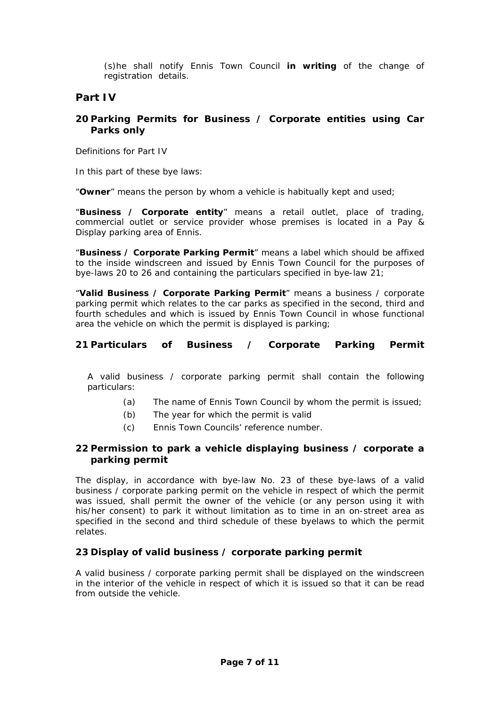(s)he shall notify Ennis Town Council **in writing** of the change of registration details.

# **Part IV**

## **20 Parking Permits for Business / Corporate entities using Car Parks only**

Definitions for Part IV

In this part of these bye laws:

"**Owner**" means the person by whom a vehicle is habitually kept and used;

"**Business / Corporate entity**" means a retail outlet, place of trading, commercial outlet or service provider whose premises is located in a Pay & Display parking area of Ennis.

"**Business / Corporate Parking Permit**" means a label which should be affixed to the inside windscreen and issued by Ennis Town Council for the purposes of bye-laws 20 to 26 and containing the particulars specified in bye-law 21;

"**Valid Business / Corporate Parking Permit**" means a business / corporate parking permit which relates to the car parks as specified in the second, third and fourth schedules and which is issued by Ennis Town Council in whose functional area the vehicle on which the permit is displayed is parking;

# **21 Particulars of Business / Corporate Parking Permit**

A valid business / corporate parking permit shall contain the following particulars:

- (a) The name of Ennis Town Council by whom the permit is issued;
- (b) The year for which the permit is valid
- (c) Ennis Town Councils' reference number.

# **22 Permission to park a vehicle displaying business / corporate a parking permit**

The display, in accordance with bye-law No. 23 of these bye-laws of a valid business / corporate parking permit on the vehicle in respect of which the permit was issued, shall permit the owner of the vehicle (or any person using it with his/her consent) to park it without limitation as to time in an on-street area as specified in the second and third schedule of these byelaws to which the permit relates.

## **23 Display of valid business / corporate parking permit**

A valid business / corporate parking permit shall be displayed on the windscreen in the interior of the vehicle in respect of which it is issued so that it can be read from outside the vehicle.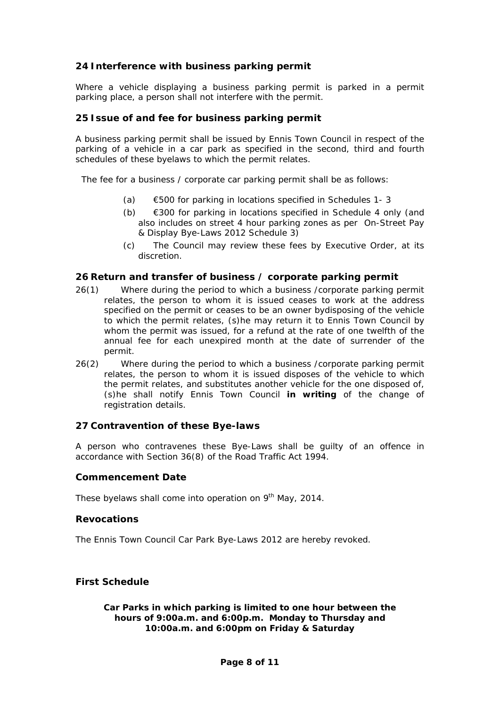## **24 Interference with business parking permit**

Where a vehicle displaying a business parking permit is parked in a permit parking place, a person shall not interfere with the permit.

## **25 Issue of and fee for business parking permit**

A business parking permit shall be issued by Ennis Town Council in respect of the parking of a vehicle in a car park as specified in the second, third and fourth schedules of these byelaws to which the permit relates.

The fee for a business / corporate car parking permit shall be as follows:

- (a)  $\epsilon$  500 for parking in locations specified in Schedules 1-3
- (b) €300 for parking in locations specified in Schedule 4 only (and also includes on street 4 hour parking zones as per On-Street Pay & Display Bye-Laws 2012 Schedule 3)
- (c) The Council may review these fees by Executive Order, at its discretion.

## **26 Return and transfer of business / corporate parking permit**

- 26(1) Where during the period to which a business /corporate parking permit relates, the person to whom it is issued ceases to work at the address specified on the permit or ceases to be an owner bydisposing of the vehicle to which the permit relates, (s)he may return it to Ennis Town Council by whom the permit was issued, for a refund at the rate of one twelfth of the annual fee for each unexpired month at the date of surrender of the permit.
- 26(2) Where during the period to which a business /corporate parking permit relates, the person to whom it is issued disposes of the vehicle to which the permit relates, and substitutes another vehicle for the one disposed of, (s)he shall notify Ennis Town Council **in writing** of the change of registration details.

#### **27 Contravention of these Bye-laws**

A person who contravenes these Bye-Laws shall be guilty of an offence in accordance with Section 36(8) of the Road Traffic Act 1994.

#### **Commencement Date**

These byelaws shall come into operation on 9<sup>th</sup> May, 2014.

## **Revocations**

The Ennis Town Council Car Park Bye-Laws 2012 are hereby revoked.

#### **First Schedule**

*Car Parks in which parking is limited to one hour between the hours of 9:00a.m. and 6:00p.m. Monday to Thursday and 10:00a.m. and 6:00pm on Friday & Saturday*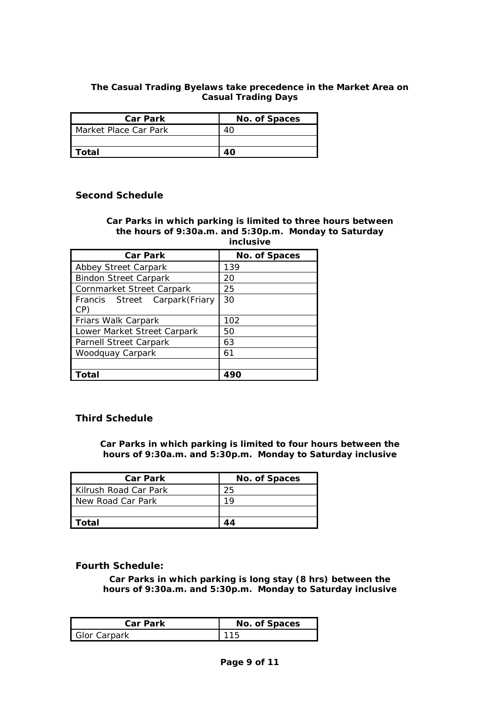## **The Casual Trading Byelaws take precedence in the Market Area on Casual Trading Days**

| <b>Car Park</b>       | No. of Spaces |
|-----------------------|---------------|
| Market Place Car Park |               |
|                       |               |
| l Total               |               |

## **Second Schedule**

#### *Car Parks in which parking is limited to three hours between the hours of 9:30a.m. and 5:30p.m. Monday to Saturday inclusive*

| <b>Car Park</b>                       | No. of Spaces |
|---------------------------------------|---------------|
| Abbey Street Carpark                  | 139           |
| <b>Bindon Street Carpark</b>          | 20            |
| Cornmarket Street Carpark             | 25            |
| Francis Street Carpark (Friary<br>CP) | 30            |
| Friars Walk Carpark                   | 102           |
| Lower Market Street Carpark           | 50            |
| <b>Parnell Street Carpark</b>         | 63            |
| Woodquay Carpark                      | 61            |
|                                       |               |
| otal                                  |               |

## **Third Schedule**

*Car Parks in which parking is limited to four hours between the hours of 9:30a.m. and 5:30p.m. Monday to Saturday inclusive* 

| <b>Car Park</b>       | No. of Spaces |
|-----------------------|---------------|
| Kilrush Road Car Park | 25            |
| I New Road Car Park   | 1 Q           |
|                       |               |
| Total                 |               |

## **Fourth Schedule:**

*Car Parks in which parking is long stay (8 hrs) between the hours of 9:30a.m. and 5:30p.m. Monday to Saturday inclusive* 

| <b>Car Park</b>     | No. of Spaces |
|---------------------|---------------|
| <b>Glor Carpark</b> | 115           |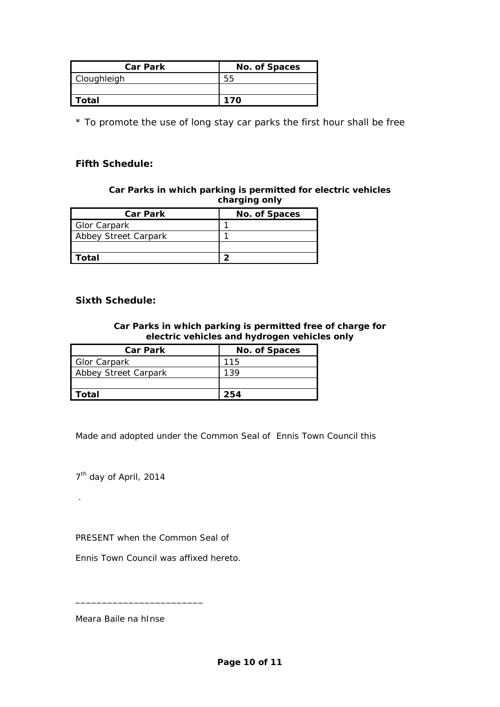| <b>Car Park</b>    | No. of Spaces |
|--------------------|---------------|
| <b>Cloughleigh</b> |               |
|                    |               |
| Total              | 170           |

\* To promote the use of long stay car parks the first hour shall be free

# **Fifth Schedule:**

## *Car Parks in which parking is permitted for electric vehicles charging only*

| <b>Car Park</b>      | No. of Spaces |
|----------------------|---------------|
| <b>Glor Carpark</b>  |               |
| Abbey Street Carpark |               |
|                      |               |
| ัดtal                |               |

## **Sixth Schedule:**

## *Car Parks in which parking is permitted free of charge for electric vehicles and hydrogen vehicles only*

| <b>Car Park</b>      | No. of Spaces |
|----------------------|---------------|
| <b>Glor Carpark</b>  | 115           |
| Abbey Street Carpark | 139           |
|                      |               |
| Total                | 254           |

Made and adopted under the Common Seal of Ennis Town Council this

7<sup>th</sup> day of April, 2014

.

PRESENT when the Common Seal of

Ennis Town Council was affixed hereto.

Meara Baile na hInse

\_\_\_\_\_\_\_\_\_\_\_\_\_\_\_\_\_\_\_\_\_\_\_\_